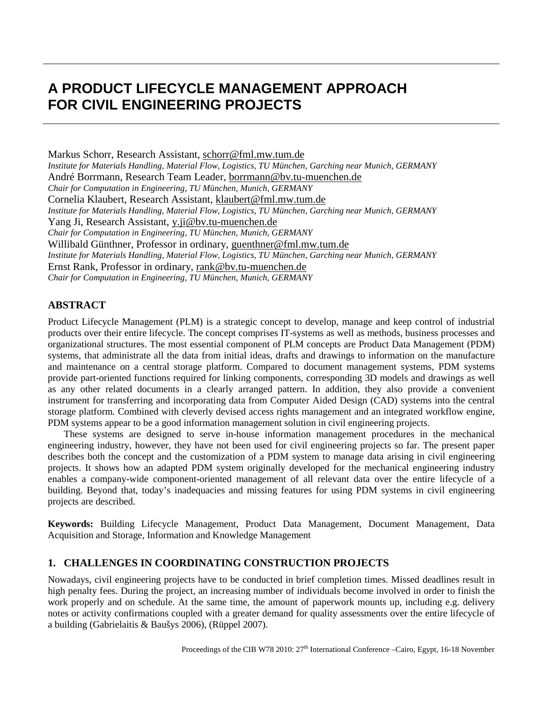# **A PRODUCT LIFECYCLE MANAGEMENT APPROACH FOR CIVIL ENGINEERING PROJECTS**

Markus Schorr, Research Assistant, [schorr@fml.mw.tum.de](mailto:schorr@fml.mw.tum.de) *Institute for Materials Handling, Material Flow, Logistics, TU München, Garching near Munich, GERMANY* André Borrmann, Research Team Leader, [borrmann@bv.tu-muenchen.de](mailto:borrmann@bv.tu-muenchen.de) *Chair for Computation in Engineering, TU München, Munich, GERMANY* Cornelia Klaubert, Research Assistant, [klaubert@fml.mw.tum.de](mailto:klaubert@fml.mw.tum.de) *Institute for Materials Handling, Material Flow, Logistics, TU München, Garching near Munich, GERMANY* Yang Ji, Research Assistant, [y.ji@bv.tu-muenchen.de](mailto:y.ji@bv.tu-muenchen.de) *Chair for Computation in Engineering, TU München, Munich, GERMANY* Willibald Günthner, Professor in ordinary, [guenthner@fml.mw.tum.de](mailto:guenthner@fml.mw.tum.de) *Institute for Materials Handling, Material Flow, Logistics, TU München, Garching near Munich, GERMANY* Ernst Rank, Professor in ordinary, [rank@bv.tu-muenchen.de](mailto:rank@bv.tu-muenchen.de)  *Chair for Computation in Engineering, TU München, Munich, GERMANY*

## **ABSTRACT**

Product Lifecycle Management (PLM) is a strategic concept to develop, manage and keep control of industrial products over their entire lifecycle. The concept comprises IT-systems as well as methods, business processes and organizational structures. The most essential component of PLM concepts are Product Data Management (PDM) systems, that administrate all the data from initial ideas, drafts and drawings to information on the manufacture and maintenance on a central storage platform. Compared to document management systems, PDM systems provide part-oriented functions required for linking components, corresponding 3D models and drawings as well as any other related documents in a clearly arranged pattern. In addition, they also provide a convenient instrument for transferring and incorporating data from Computer Aided Design (CAD) systems into the central storage platform. Combined with cleverly devised access rights management and an integrated workflow engine, PDM systems appear to be a good information management solution in civil engineering projects.

These systems are designed to serve in-house information management procedures in the mechanical engineering industry, however, they have not been used for civil engineering projects so far. The present paper describes both the concept and the customization of a PDM system to manage data arising in civil engineering projects. It shows how an adapted PDM system originally developed for the mechanical engineering industry enables a company-wide component-oriented management of all relevant data over the entire lifecycle of a building. Beyond that, today's inadequacies and missing features for using PDM systems in civil engineering projects are described.

**Keywords:** Building Lifecycle Management, Product Data Management, Document Management, Data Acquisition and Storage, Information and Knowledge Management

## **1. CHALLENGES IN COORDINATING CONSTRUCTION PROJECTS**

Nowadays, civil engineering projects have to be conducted in brief completion times. Missed deadlines result in high penalty fees. During the project, an increasing number of individuals become involved in order to finish the work properly and on schedule. At the same time, the amount of paperwork mounts up, including e.g. delivery notes or activity confirmations coupled with a greater demand for quality assessments over the entire lifecycle of a building (Gabrielaitis & Baušys 2006), (Rüppel 2007).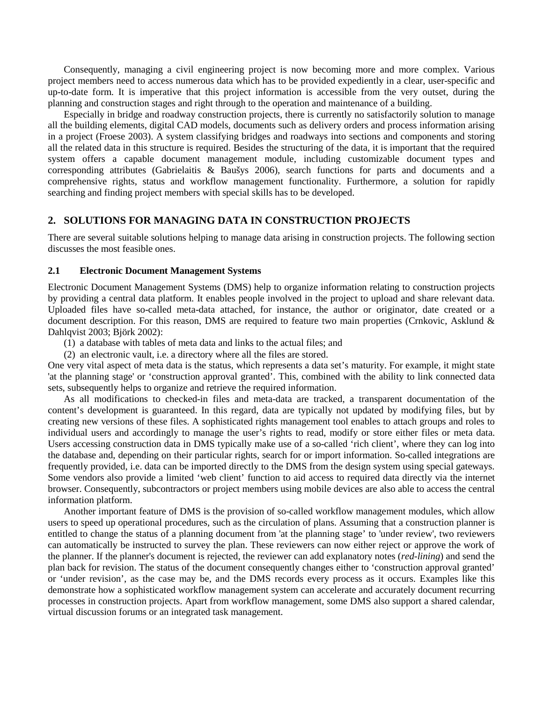Consequently, managing a civil engineering project is now becoming more and more complex. Various project members need to access numerous data which has to be provided expediently in a clear, user-specific and up-to-date form. It is imperative that this project information is accessible from the very outset, during the planning and construction stages and right through to the operation and maintenance of a building.

Especially in bridge and roadway construction projects, there is currently no satisfactorily solution to manage all the building elements, digital CAD models, documents such as delivery orders and process information arising in a project (Froese 2003). A system classifying bridges and roadways into sections and components and storing all the related data in this structure is required. Besides the structuring of the data, it is important that the required system offers a capable document management module, including customizable document types and corresponding attributes (Gabrielaitis & Baušys 2006), search functions for parts and documents and a comprehensive rights, status and workflow management functionality. Furthermore, a solution for rapidly searching and finding project members with special skills has to be developed.

#### **2. SOLUTIONS FOR MANAGING DATA IN CONSTRUCTION PROJECTS**

There are several suitable solutions helping to manage data arising in construction projects. The following section discusses the most feasible ones.

#### **2.1 Electronic Document Management Systems**

Electronic Document Management Systems (DMS) help to organize information relating to construction projects by providing a central data platform. It enables people involved in the project to upload and share relevant data. Uploaded files have so-called meta-data attached, for instance, the author or originator, date created or a document description. For this reason, DMS are required to feature two main properties (Crnkovic, Asklund & Dahlqvist 2003; Björk 2002):

- (1) a database with tables of meta data and links to the actual files; and
- (2) an electronic vault, i.e. a directory where all the files are stored.

One very vital aspect of meta data is the status, which represents a data set's maturity. For example, it might state 'at the planning stage' or 'construction approval granted'. This, combined with the ability to link connected data sets, subsequently helps to organize and retrieve the required information.

As all modifications to checked-in files and meta-data are tracked, a transparent documentation of the content's development is guaranteed. In this regard, data are typically not updated by modifying files, but by creating new versions of these files. A sophisticated rights management tool enables to attach groups and roles to individual users and accordingly to manage the user's rights to read, modify or store either files or meta data. Users accessing construction data in DMS typically make use of a so-called 'rich client', where they can log into the database and, depending on their particular rights, search for or import information. So-called integrations are frequently provided, i.e. data can be imported directly to the DMS from the design system using special gateways. Some vendors also provide a limited 'web client' function to aid access to required data directly via the internet browser. Consequently, subcontractors or project members using mobile devices are also able to access the central information platform.

Another important feature of DMS is the provision of so-called workflow management modules, which allow users to speed up operational procedures, such as the circulation of plans. Assuming that a construction planner is entitled to change the status of a planning document from 'at the planning stage' to 'under review', two reviewers can automatically be instructed to survey the plan. These reviewers can now either reject or approve the work of the planner. If the planner's document is rejected, the reviewer can add explanatory notes (*red-lining*) and send the plan back for revision. The status of the document consequently changes either to 'construction approval granted' or 'under revision', as the case may be, and the DMS records every process as it occurs. Examples like this demonstrate how a sophisticated workflow management system can accelerate and accurately document recurring processes in construction projects. Apart from workflow management, some DMS also support a shared calendar, virtual discussion forums or an integrated task management.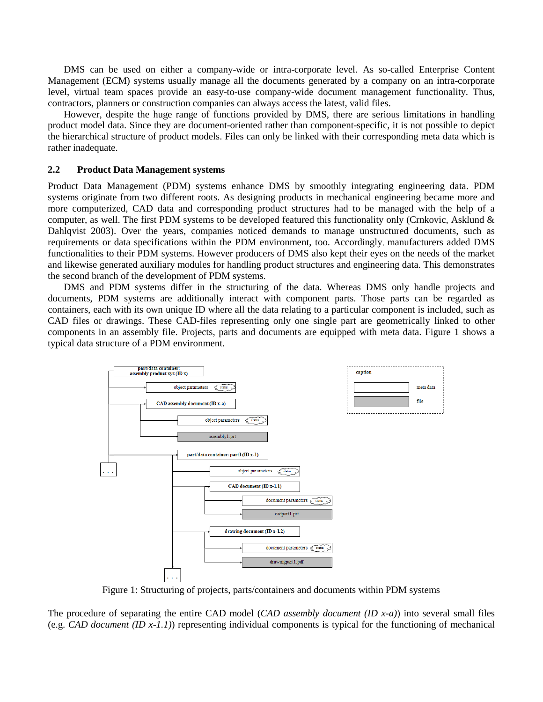DMS can be used on either a company-wide or intra-corporate level. As so-called Enterprise Content Management (ECM) systems usually manage all the documents generated by a company on an intra-corporate level, virtual team spaces provide an easy-to-use company-wide document management functionality. Thus, contractors, planners or construction companies can always access the latest, valid files.

However, despite the huge range of functions provided by DMS, there are serious limitations in handling product model data. Since they are document-oriented rather than component-specific, it is not possible to depict the hierarchical structure of product models. Files can only be linked with their corresponding meta data which is rather inadequate.

#### **2.2 Product Data Management systems**

Product Data Management (PDM) systems enhance DMS by smoothly integrating engineering data. PDM systems originate from two different roots. As designing products in mechanical engineering became more and more computerized, CAD data and corresponding product structures had to be managed with the help of a computer, as well. The first PDM systems to be developed featured this functionality only (Crnkovic, Asklund & Dahlqvist 2003). Over the years, companies noticed demands to manage unstructured documents, such as requirements or data specifications within the PDM environment, too. Accordingly, manufacturers added DMS functionalities to their PDM systems. However producers of DMS also kept their eyes on the needs of the market and likewise generated auxiliary modules for handling product structures and engineering data. This demonstrates the second branch of the development of PDM systems.

DMS and PDM systems differ in the structuring of the data. Whereas DMS only handle projects and documents, PDM systems are additionally interact with component parts. Those parts can be regarded as containers, each with its own unique ID where all the data relating to a particular component is included, such as CAD files or drawings. These CAD-files representing only one single part are geometrically linked to other components in an assembly file. Projects, parts and documents are equipped with meta data. Figure 1 shows a typical data structure of a PDM environment.



Figure 1: Structuring of projects, parts/containers and documents within PDM systems

The procedure of separating the entire CAD model (*CAD assembly document (ID x-a)*) into several small files (e.g. *CAD document (ID x-1.1)*) representing individual components is typical for the functioning of mechanical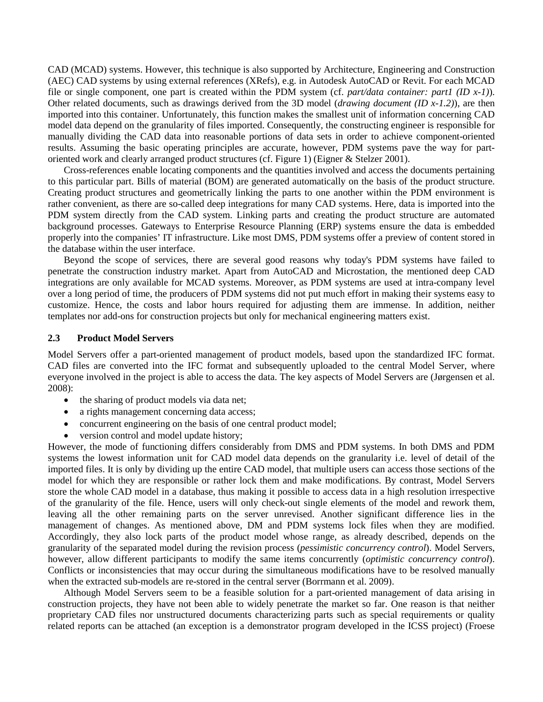CAD (MCAD) systems. However, this technique is also supported by Architecture, Engineering and Construction (AEC) CAD systems by using external references (XRefs), e.g. in Autodesk AutoCAD or Revit. For each MCAD file or single component, one part is created within the PDM system (cf. *part/data container: part1 (ID x-1)*). Other related documents, such as drawings derived from the 3D model (*drawing document (ID x-1.2)*), are then imported into this container. Unfortunately, this function makes the smallest unit of information concerning CAD model data depend on the granularity of files imported. Consequently, the constructing engineer is responsible for manually dividing the CAD data into reasonable portions of data sets in order to achieve component-oriented results. Assuming the basic operating principles are accurate, however, PDM systems pave the way for partoriented work and clearly arranged product structures (cf. Figure 1) (Eigner & Stelzer 2001).

Cross-references enable locating components and the quantities involved and access the documents pertaining to this particular part. Bills of material (BOM) are generated automatically on the basis of the product structure. Creating product structures and geometrically linking the parts to one another within the PDM environment is rather convenient, as there are so-called deep integrations for many CAD systems. Here, data is imported into the PDM system directly from the CAD system. Linking parts and creating the product structure are automated background processes. Gateways to Enterprise Resource Planning (ERP) systems ensure the data is embedded properly into the companies' IT infrastructure. Like most DMS, PDM systems offer a preview of content stored in the database within the user interface.

Beyond the scope of services, there are several good reasons why today's PDM systems have failed to penetrate the construction industry market. Apart from AutoCAD and Microstation, the mentioned deep CAD integrations are only available for MCAD systems. Moreover, as PDM systems are used at intra-company level over a long period of time, the producers of PDM systems did not put much effort in making their systems easy to customize. Hence, the costs and labor hours required for adjusting them are immense. In addition, neither templates nor add-ons for construction projects but only for mechanical engineering matters exist.

#### **2.3 Product Model Servers**

Model Servers offer a part-oriented management of product models, based upon the standardized IFC format. CAD files are converted into the IFC format and subsequently uploaded to the central Model Server, where everyone involved in the project is able to access the data. The key aspects of Model Servers are (Jørgensen et al. 2008):

- the sharing of product models via data net;
- a rights management concerning data access;
- concurrent engineering on the basis of one central product model;
- version control and model update history;

However, the mode of functioning differs considerably from DMS and PDM systems. In both DMS and PDM systems the lowest information unit for CAD model data depends on the granularity i.e. level of detail of the imported files. It is only by dividing up the entire CAD model, that multiple users can access those sections of the model for which they are responsible or rather lock them and make modifications. By contrast, Model Servers store the whole CAD model in a database, thus making it possible to access data in a high resolution irrespective of the granularity of the file. Hence, users will only check-out single elements of the model and rework them, leaving all the other remaining parts on the server unrevised. Another significant difference lies in the management of changes. As mentioned above, DM and PDM systems lock files when they are modified. Accordingly, they also lock parts of the product model whose range, as already described, depends on the granularity of the separated model during the revision process (*pessimistic concurrency control*). Model Servers, however, allow different participants to modify the same items concurrently (*optimistic concurrency control*). Conflicts or inconsistencies that may occur during the simultaneous modifications have to be resolved manually when the extracted sub-models are re-stored in the central server (Borrmann et al. 2009).

Although Model Servers seem to be a feasible solution for a part-oriented management of data arising in construction projects, they have not been able to widely penetrate the market so far. One reason is that neither proprietary CAD files nor unstructured documents characterizing parts such as special requirements or quality related reports can be attached (an exception is a demonstrator program developed in the ICSS project) (Froese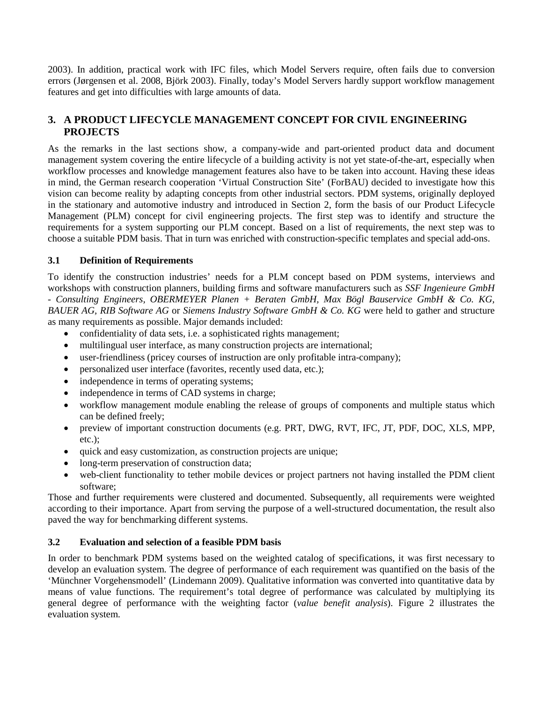2003). In addition, practical work with IFC files, which Model Servers require, often fails due to conversion errors (Jørgensen et al. 2008, Björk 2003). Finally, today's Model Servers hardly support workflow management features and get into difficulties with large amounts of data.

## **3. A PRODUCT LIFECYCLE MANAGEMENT CONCEPT FOR CIVIL ENGINEERING PROJECTS**

As the remarks in the last sections show, a company-wide and part-oriented product data and document management system covering the entire lifecycle of a building activity is not yet state-of-the-art, especially when workflow processes and knowledge management features also have to be taken into account. Having these ideas in mind, the German research cooperation 'Virtual Construction Site' (ForBAU) decided to investigate how this vision can become reality by adapting concepts from other industrial sectors. PDM systems, originally deployed in the stationary and automotive industry and introduced in Section 2, form the basis of our Product Lifecycle Management (PLM) concept for civil engineering projects. The first step was to identify and structure the requirements for a system supporting our PLM concept. Based on a list of requirements, the next step was to choose a suitable PDM basis. That in turn was enriched with construction-specific templates and special add-ons.

## **3.1 Definition of Requirements**

To identify the construction industries' needs for a PLM concept based on PDM systems, interviews and workshops with construction planners, building firms and software manufacturers such as *SSF Ingenieure GmbH - Consulting Engineers, OBERMEYER Planen + Beraten GmbH, Max Bögl Bauservice GmbH & Co. KG, BAUER AG, RIB Software AG* or *Siemens Industry Software GmbH & Co. KG* were held to gather and structure as many requirements as possible. Major demands included:

- confidentiality of data sets, i.e. a sophisticated rights management;
- multilingual user interface, as many construction projects are international;
- user-friendliness (pricey courses of instruction are only profitable intra-company);
- personalized user interface (favorites, recently used data, etc.);
- independence in terms of operating systems;
- independence in terms of CAD systems in charge;
- workflow management module enabling the release of groups of components and multiple status which can be defined freely;
- preview of important construction documents (e.g. PRT, DWG, RVT, IFC, JT, PDF, DOC, XLS, MPP, etc.);
- quick and easy customization, as construction projects are unique;
- long-term preservation of construction data;
- web-client functionality to tether mobile devices or project partners not having installed the PDM client software;

Those and further requirements were clustered and documented. Subsequently, all requirements were weighted according to their importance. Apart from serving the purpose of a well-structured documentation, the result also paved the way for benchmarking different systems.

## **3.2 Evaluation and selection of a feasible PDM basis**

In order to benchmark PDM systems based on the weighted catalog of specifications, it was first necessary to develop an evaluation system. The degree of performance of each requirement was quantified on the basis of the 'Münchner Vorgehensmodell' (Lindemann 2009). Qualitative information was converted into quantitative data by means of value functions. The requirement's total degree of performance was calculated by multiplying its general degree of performance with the weighting factor (*value benefit analysis*). Figure 2 illustrates the evaluation system.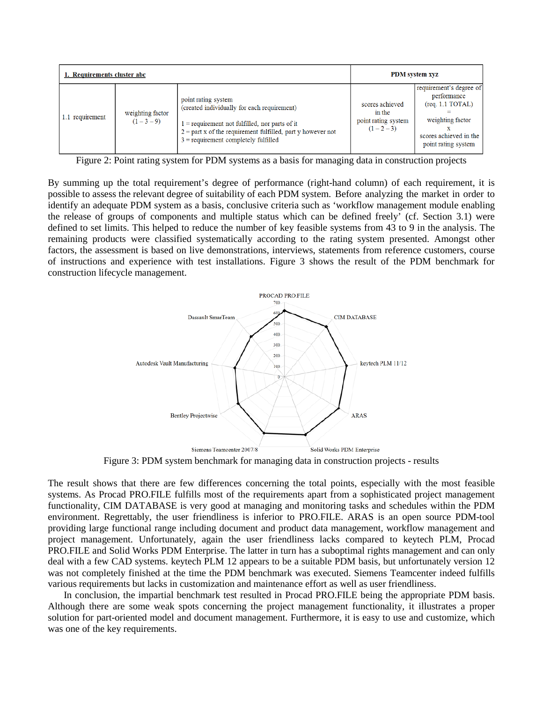| 1. Requirements cluster abc |                               |                                                                                                                                                                                                                                   | <b>PDM</b> system xyz                                         |                                                                                                                                                   |
|-----------------------------|-------------------------------|-----------------------------------------------------------------------------------------------------------------------------------------------------------------------------------------------------------------------------------|---------------------------------------------------------------|---------------------------------------------------------------------------------------------------------------------------------------------------|
| requirement<br>1.1          | weighting factor<br>$(1-3-9)$ | point rating system<br>(created individually for each requirement)<br>$1$ = requirement not fulfilled, nor parts of it<br>$2 =$ part x of the requirement fulfilled, part y however not<br>$3$ = requirement completely fulfilled | scores achieved<br>in the<br>point rating system<br>$(1-2-3)$ | requirement's degree of<br>performance<br>$(\text{req. } 1.1 \text{ TOTAL})$<br>weighting factor<br>scores achieved in the<br>point rating system |

Figure 2: Point rating system for PDM systems as a basis for managing data in construction projects

By summing up the total requirement's degree of performance (right-hand column) of each requirement, it is possible to assess the relevant degree of suitability of each PDM system. Before analyzing the market in order to identify an adequate PDM system as a basis, conclusive criteria such as 'workflow management module enabling the release of groups of components and multiple status which can be defined freely' (cf. Section 3.1) were defined to set limits. This helped to reduce the number of key feasible systems from 43 to 9 in the analysis. The remaining products were classified systematically according to the rating system presented. Amongst other factors, the assessment is based on live demonstrations, interviews, statements from reference customers, course of instructions and experience with test installations. Figure 3 shows the result of the PDM benchmark for construction lifecycle management.



Figure 3: PDM system benchmark for managing data in construction projects - results

The result shows that there are few differences concerning the total points, especially with the most feasible systems. As Procad PRO.FILE fulfills most of the requirements apart from a sophisticated project management functionality, CIM DATABASE is very good at managing and monitoring tasks and schedules within the PDM environment. Regrettably, the user friendliness is inferior to PRO.FILE. ARAS is an open source PDM-tool providing large functional range including document and product data management, workflow management and project management. Unfortunately, again the user friendliness lacks compared to keytech PLM, Procad PRO.FILE and Solid Works PDM Enterprise. The latter in turn has a suboptimal rights management and can only deal with a few CAD systems. keytech PLM 12 appears to be a suitable PDM basis, but unfortunately version 12 was not completely finished at the time the PDM benchmark was executed. Siemens Teamcenter indeed fulfills various requirements but lacks in customization and maintenance effort as well as user friendliness.

In conclusion, the impartial benchmark test resulted in Procad PRO.FILE being the appropriate PDM basis. Although there are some weak spots concerning the project management functionality, it illustrates a proper solution for part-oriented model and document management. Furthermore, it is easy to use and customize, which was one of the key requirements.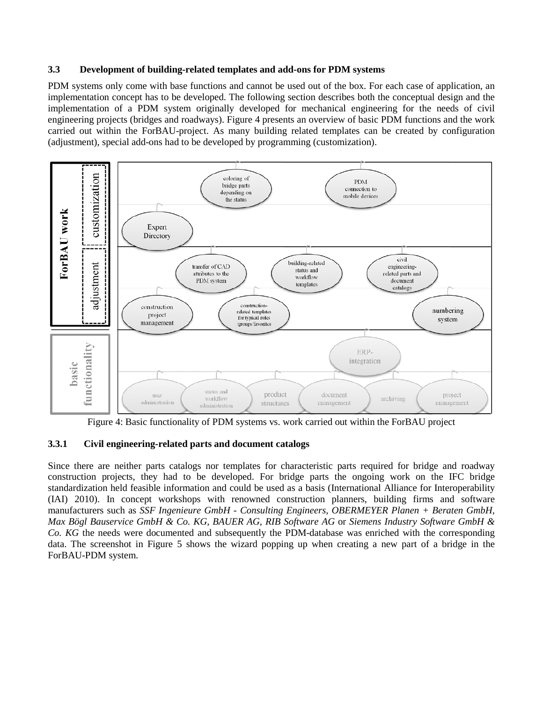#### **3.3 Development of building-related templates and add-ons for PDM systems**

PDM systems only come with base functions and cannot be used out of the box. For each case of application, an implementation concept has to be developed. The following section describes both the conceptual design and the implementation of a PDM system originally developed for mechanical engineering for the needs of civil engineering projects (bridges and roadways). Figure 4 presents an overview of basic PDM functions and the work carried out within the ForBAU-project. As many building related templates can be created by configuration (adjustment), special add-ons had to be developed by programming (customization).



Figure 4: Basic functionality of PDM systems vs. work carried out within the ForBAU project

### **3.3.1 Civil engineering-related parts and document catalogs**

Since there are neither parts catalogs nor templates for characteristic parts required for bridge and roadway construction projects, they had to be developed. For bridge parts the ongoing work on the IFC bridge standardization held feasible information and could be used as a basis (International Alliance for Interoperability (IAI) 2010). In concept workshops with renowned construction planners, building firms and software manufacturers such as *SSF Ingenieure GmbH - Consulting Engineers, OBERMEYER Planen + Beraten GmbH, Max Bögl Bauservice GmbH & Co. KG, BAUER AG, RIB Software AG* or *Siemens Industry Software GmbH & Co. KG* the needs were documented and subsequently the PDM-database was enriched with the corresponding data. The screenshot in Figure 5 shows the wizard popping up when creating a new part of a bridge in the ForBAU-PDM system.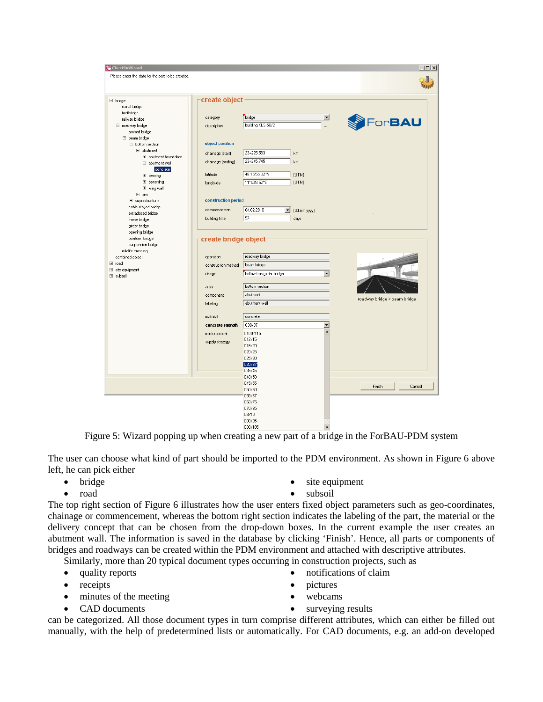| CheckInWizard<br>Please enter the data for the part to be created. |                      |                                                    |                          | $ \Box$ $\times$             |
|--------------------------------------------------------------------|----------------------|----------------------------------------------------|--------------------------|------------------------------|
| $\Box$ bridge<br>canal bridge                                      | create object        |                                                    |                          |                              |
| footbridge                                                         |                      |                                                    |                          |                              |
| railway bridge                                                     | category             | bridge                                             | $\overline{\phantom{a}}$ |                              |
| □ roadway bridge                                                   | description          | building KLS-58/2                                  | $\ddot{\phantom{a}}$     | For <b>BAU</b>               |
| arched bridge                                                      |                      |                                                    |                          |                              |
| $\Box$ beam bridge                                                 |                      |                                                    |                          |                              |
| $\Box$ bottom section                                              | object position      |                                                    |                          |                              |
| $\boxdot$ abutment                                                 | chainage (start)     | 23+225.583<br>km                                   |                          |                              |
| El abutment foundation                                             |                      |                                                    |                          |                              |
| $\Box$ abutment wall                                               | chainage (ending)    | 23+245.745<br>km                                   |                          |                              |
| concrete                                                           |                      |                                                    |                          |                              |
| E bearing                                                          | latitude             | 48°15'55.32"N<br>[UTM]                             |                          |                              |
| E benching                                                         | longitude            | 11°40'6.52"E<br>[UTM]                              |                          |                              |
| E wing wall                                                        |                      |                                                    |                          |                              |
| $E$ pier                                                           |                      |                                                    |                          |                              |
| El superstructure                                                  | construction period  |                                                    |                          |                              |
| cable-stayed bridge                                                | commencement         | 04.02.2010<br>$\blacktriangledown$<br>[dd.mm.yyyy] |                          |                              |
| extradosed bridge                                                  |                      | 57                                                 |                          |                              |
| frame bridge                                                       | building time        | days                                               |                          |                              |
| girder bridge                                                      |                      |                                                    |                          |                              |
| opening bridge                                                     |                      |                                                    |                          |                              |
| pontoon bridge                                                     | create bridge object |                                                    |                          |                              |
| suspension bridge<br>wildlife crossing                             |                      |                                                    |                          |                              |
| combined object                                                    | operation            | roadway bridge                                     |                          |                              |
| El road                                                            |                      |                                                    |                          |                              |
| El site equipment                                                  | construction method  | beam bridge                                        |                          |                              |
| El subsoil                                                         | design               | hollow box girder bridge                           | $\overline{\phantom{a}}$ |                              |
|                                                                    | area                 | bottom section                                     |                          |                              |
|                                                                    | component            | abutment                                           |                          |                              |
|                                                                    | labeling             | abutment wall                                      |                          | roadway bridge > beam bridge |
|                                                                    |                      |                                                    |                          |                              |
|                                                                    | material             | concrete                                           |                          |                              |
|                                                                    | concrete strength    | C30/37                                             | ▼<br>▲                   |                              |
|                                                                    | reinforcement        | C100/115                                           |                          |                              |
|                                                                    | supply strategy      | C12/15                                             |                          |                              |
|                                                                    |                      | C16/20                                             |                          |                              |
|                                                                    |                      | C20/25                                             |                          |                              |
|                                                                    |                      | C25/30                                             |                          |                              |
|                                                                    |                      | C30/37<br>C35/45                                   |                          |                              |
|                                                                    |                      | C40/50                                             |                          |                              |
|                                                                    |                      | C45/55                                             |                          |                              |
|                                                                    |                      | C50/60                                             |                          | Finish<br>Cancel             |
|                                                                    |                      | C55/67                                             |                          |                              |
|                                                                    |                      | C60/75                                             |                          |                              |
|                                                                    |                      | C70/85                                             |                          |                              |
|                                                                    |                      | C8/10                                              |                          |                              |
|                                                                    |                      | C80/95                                             |                          |                              |
|                                                                    |                      | C90/10E                                            |                          |                              |

Figure 5: Wizard popping up when creating a new part of a bridge in the ForBAU-PDM system

The user can choose what kind of part should be imported to the PDM environment. As shown in Figure 6 above left, he can pick either

- bridge
- road
- site equipment
- subsoil

The top right section of Figure 6 illustrates how the user enters fixed object parameters such as geo-coordinates, chainage or commencement, whereas the bottom right section indicates the labeling of the part, the material or the delivery concept that can be chosen from the drop-down boxes. In the current example the user creates an abutment wall. The information is saved in the database by clicking 'Finish'. Hence, all parts or components of bridges and roadways can be created within the PDM environment and attached with descriptive attributes.

Similarly, more than 20 typical document types occurring in construction projects, such as

- quality reports
- receipts
- minutes of the meeting
- CAD documents
- notifications of claim
- pictures
- webcams
- surveying results

can be categorized. All those document types in turn comprise different attributes, which can either be filled out manually, with the help of predetermined lists or automatically. For CAD documents, e.g. an add-on developed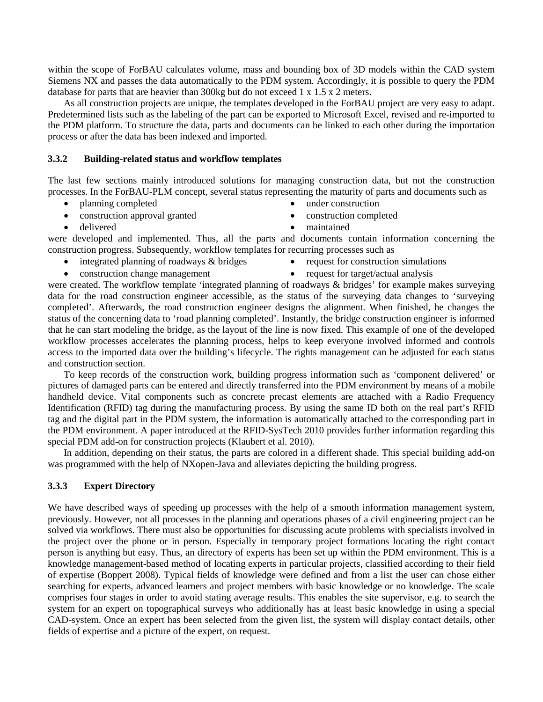within the scope of ForBAU calculates volume, mass and bounding box of 3D models within the CAD system Siemens NX and passes the data automatically to the PDM system. Accordingly, it is possible to query the PDM database for parts that are heavier than 300kg but do not exceed 1 x 1.5 x 2 meters.

As all construction projects are unique, the templates developed in the ForBAU project are very easy to adapt. Predetermined lists such as the labeling of the part can be exported to Microsoft Excel, revised and re-imported to the PDM platform. To structure the data, parts and documents can be linked to each other during the importation process or after the data has been indexed and imported.

#### **3.3.2 Building-related status and workflow templates**

The last few sections mainly introduced solutions for managing construction data, but not the construction processes. In the ForBAU-PLM concept, several status representing the maturity of parts and documents such as

- planning completed
- construction approval granted
- delivered
- under construction
- construction completed
- maintained

were developed and implemented. Thus, all the parts and documents contain information concerning the construction progress. Subsequently, workflow templates for recurring processes such as

- integrated planning of roadways & bridges
- request for construction simulations

• construction change management

• request for target/actual analysis

were created. The workflow template 'integrated planning of roadways & bridges' for example makes surveying data for the road construction engineer accessible, as the status of the surveying data changes to 'surveying completed'. Afterwards, the road construction engineer designs the alignment. When finished, he changes the status of the concerning data to 'road planning completed'. Instantly, the bridge construction engineer is informed that he can start modeling the bridge, as the layout of the line is now fixed. This example of one of the developed workflow processes accelerates the planning process, helps to keep everyone involved informed and controls access to the imported data over the building's lifecycle. The rights management can be adjusted for each status and construction section.

To keep records of the construction work, building progress information such as 'component delivered' or pictures of damaged parts can be entered and directly transferred into the PDM environment by means of a mobile handheld device. Vital components such as concrete precast elements are attached with a Radio Frequency Identification (RFID) tag during the manufacturing process. By using the same ID both on the real part's RFID tag and the digital part in the PDM system, the information is automatically attached to the corresponding part in the PDM environment. A paper introduced at the RFID-SysTech 2010 provides further information regarding this special PDM add-on for construction projects (Klaubert et al. 2010).

In addition, depending on their status, the parts are colored in a different shade. This special building add-on was programmed with the help of NXopen-Java and alleviates depicting the building progress.

### **3.3.3 Expert Directory**

We have described ways of speeding up processes with the help of a smooth information management system, previously. However, not all processes in the planning and operations phases of a civil engineering project can be solved via workflows. There must also be opportunities for discussing acute problems with specialists involved in the project over the phone or in person. Especially in temporary project formations locating the right contact person is anything but easy. Thus, an directory of experts has been set up within the PDM environment. This is a knowledge management-based method of locating experts in particular projects, classified according to their field of expertise (Boppert 2008). Typical fields of knowledge were defined and from a list the user can chose either searching for experts, advanced learners and project members with basic knowledge or no knowledge. The scale comprises four stages in order to avoid stating average results. This enables the site supervisor, e.g. to search the system for an expert on topographical surveys who additionally has at least basic knowledge in using a special CAD-system. Once an expert has been selected from the given list, the system will display contact details, other fields of expertise and a picture of the expert, on request.